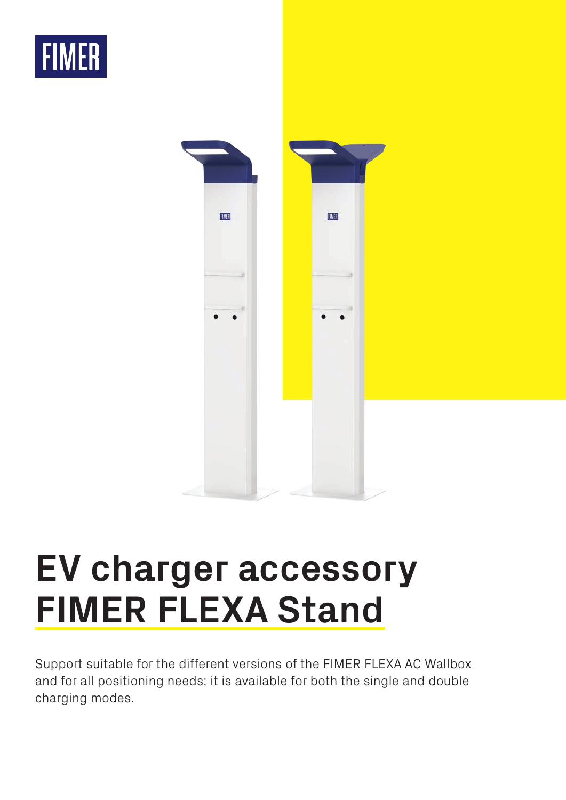



## **EV charger accessory FIMER FLEXA Stand**

Support suitable for the different versions of the FIMER FLEXA AC Wallbox and for all positioning needs; it is available for both the single and double charging modes.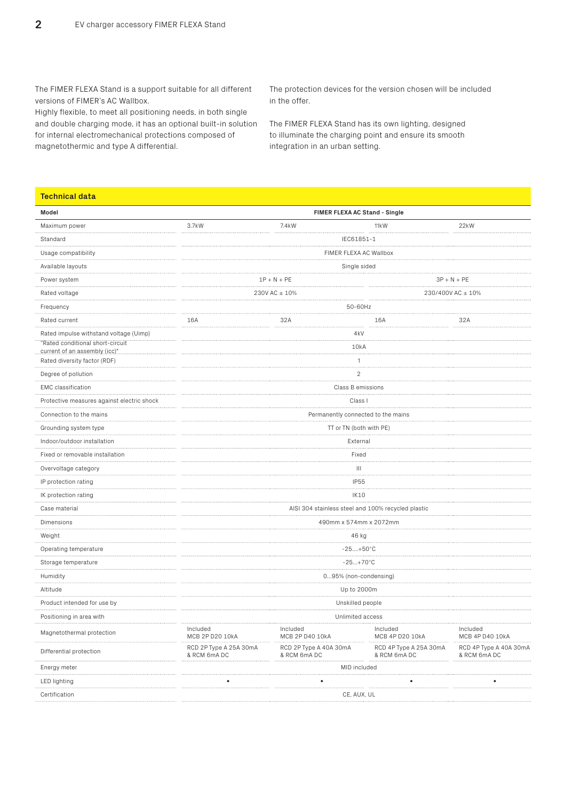The FIMER FLEXA Stand is a support suitable for all different versions of FIMER's AC Wallbox.

Highly flexible, to meet all positioning needs, in both single and double charging mode, it has an optional built-in solution for internal electromechanical protections composed of magnetothermic and type A differential.

The protection devices for the version chosen will be included in the offer.

The FIMER FLEXA Stand has its own lighting, designed to illuminate the charging point and ensure its smooth integration in an urban setting.

## **Technical data**

| Model                                                             | FIMER FLEXA AC Stand - Single                      |                                        |                                        |                                        |  |  |
|-------------------------------------------------------------------|----------------------------------------------------|----------------------------------------|----------------------------------------|----------------------------------------|--|--|
| Maximum power                                                     | 3.7kW                                              | 7.4kW                                  | 11 <sub>k</sub> W                      | 22kW                                   |  |  |
| Standard                                                          | IEC61851-1                                         |                                        |                                        |                                        |  |  |
| Usage compatibility                                               | FIMER FLEXA AC Wallbox                             |                                        |                                        |                                        |  |  |
| Available layouts                                                 | Single sided                                       |                                        |                                        |                                        |  |  |
| Power system                                                      | $1P + N + PE$<br>$3P + N + PE$                     |                                        |                                        |                                        |  |  |
| Rated voltage                                                     | 230/400V AC ± 10%<br>230V AC ± 10%                 |                                        |                                        |                                        |  |  |
| Frequency                                                         | 50-60Hz                                            |                                        |                                        |                                        |  |  |
| Rated current                                                     | 16A                                                | 32A                                    | 16A                                    | 32A                                    |  |  |
| Rated impulse withstand voltage (Uimp)                            | 4 <sub>k</sub> V<br>.                              |                                        |                                        |                                        |  |  |
| "Rated conditional short-circuit<br>current of an assembly (icc)" | 10kA                                               |                                        |                                        |                                        |  |  |
| Rated diversity factor (RDF)                                      | 1                                                  |                                        |                                        |                                        |  |  |
| Degree of pollution                                               | $\sqrt{2}$                                         |                                        |                                        |                                        |  |  |
| <b>EMC</b> classification                                         | Class B emissions                                  |                                        |                                        |                                        |  |  |
| Protective measures against electric shock                        | Class I                                            |                                        |                                        |                                        |  |  |
| Connection to the mains                                           | Permanently connected to the mains                 |                                        |                                        |                                        |  |  |
| Grounding system type                                             | TT or TN (both with PE)                            |                                        |                                        |                                        |  |  |
| Indoor/outdoor installation                                       | External                                           |                                        |                                        |                                        |  |  |
| Fixed or removable installation                                   | Fixed                                              |                                        |                                        |                                        |  |  |
| Overvoltage category                                              | Ш                                                  |                                        |                                        |                                        |  |  |
| IP protection rating                                              | <b>IP55</b>                                        |                                        |                                        |                                        |  |  |
| IK protection rating                                              | IK10                                               |                                        |                                        |                                        |  |  |
| Case material                                                     | AISI 304 stainless steel and 100% recycled plastic |                                        |                                        |                                        |  |  |
| Dimensions<br>.                                                   | 490mm x 574mm x 2072mm                             |                                        |                                        |                                        |  |  |
| Weight                                                            | 46 kg                                              |                                        |                                        |                                        |  |  |
| Operating temperature                                             | $-25+50^{\circ}C$                                  |                                        |                                        |                                        |  |  |
| Storage temperature                                               | $-25+70^{\circ}C$                                  |                                        |                                        |                                        |  |  |
| Humidity                                                          | 095% (non-condensing)                              |                                        |                                        |                                        |  |  |
| Altitude<br>.                                                     | Up to 2000m                                        |                                        |                                        |                                        |  |  |
| Product intended for use by                                       | Unskilled people                                   |                                        |                                        |                                        |  |  |
| Positioning in area with                                          | Unlimited access                                   |                                        |                                        |                                        |  |  |
| Magnetothermal protection                                         | Included<br>MCB 2P D20 10kA                        | Included<br>MCB 2P D40 10kA            | Included<br>MCB 4P D20 10kA            | Included<br>MCB 4P D40 10kA            |  |  |
| Differential protection                                           | RCD 2P Type A 25A 30mA<br>& RCM 6mA DC             | RCD 2P Type A 40A 30mA<br>& RCM 6mA DC | RCD 4P Type A 25A 30mA<br>& RCM 6mA DC | RCD 4P Type A 40A 30mA<br>& RCM 6mA DC |  |  |
| Energy meter                                                      | MID included<br>.                                  |                                        |                                        |                                        |  |  |
| LED lighting                                                      |                                                    |                                        |                                        |                                        |  |  |
| Certification                                                     | CE, AUX, UL                                        |                                        |                                        |                                        |  |  |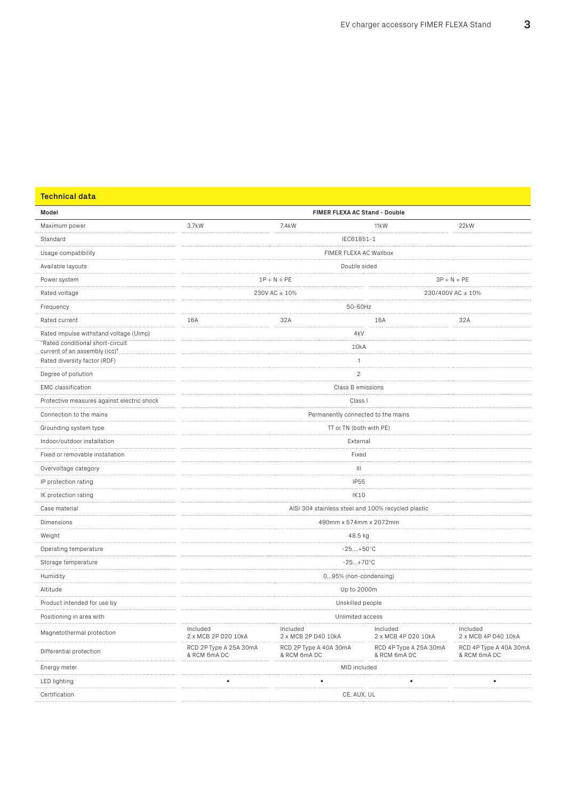| Model                                                              | FIMER FLEXA AC Stand - Double                      |                                        |                                        |                                        |  |  |
|--------------------------------------------------------------------|----------------------------------------------------|----------------------------------------|----------------------------------------|----------------------------------------|--|--|
| Maximum power                                                      | 3.7kW                                              | 7.4kW                                  | 11 <sub>k</sub> W                      | 22kW                                   |  |  |
| Standard                                                           | IEC61851-1                                         |                                        |                                        |                                        |  |  |
| Usage compatibility                                                | FIMER FLEXA AC Wallbox                             |                                        |                                        |                                        |  |  |
| Available layouts                                                  | Double sided                                       |                                        |                                        |                                        |  |  |
| Power system                                                       | $1P + N + PE$<br>$3P + N + PE$                     |                                        |                                        |                                        |  |  |
| Rated voltage                                                      |                                                    | 230V AC ± 10%                          |                                        | 230/400V AC ± 10%                      |  |  |
| Frequency                                                          | 50-60Hz                                            |                                        |                                        |                                        |  |  |
| Rated current                                                      | 16A                                                | 32A                                    | 16A                                    | 32A                                    |  |  |
| Rated impulse withstand voltage (Uimp)                             |                                                    |                                        | 4kV                                    |                                        |  |  |
| "Rated conditional short-circuit"<br>current of an assembly (icc)" | 10kA                                               |                                        |                                        |                                        |  |  |
| Rated diversity factor (RDF)                                       | 1                                                  |                                        |                                        |                                        |  |  |
| Degree of pollution                                                | $\overline{c}$                                     |                                        |                                        |                                        |  |  |
| <b>EMC</b> classification                                          | Class B emissions                                  |                                        |                                        |                                        |  |  |
| Protective measures against electric shock                         | Class I                                            |                                        |                                        |                                        |  |  |
| Connection to the mains                                            | .<br>Permanently connected to the mains            |                                        |                                        |                                        |  |  |
| Grounding system type                                              | TT or TN (both with PE)                            |                                        |                                        |                                        |  |  |
| Indoor/outdoor installation                                        |                                                    |                                        | External                               |                                        |  |  |
| Fixed or removable installation                                    | Fixed                                              |                                        |                                        |                                        |  |  |
| Overvoltage category                                               | Ш                                                  |                                        |                                        |                                        |  |  |
| IP protection rating                                               | <b>IP55</b>                                        |                                        |                                        |                                        |  |  |
| IK protection rating                                               | IK10                                               |                                        |                                        |                                        |  |  |
| Case material<br>.                                                 | AISI 304 stainless steel and 100% recycled plastic |                                        |                                        |                                        |  |  |
| Dimensions<br>.                                                    | 490mm x 574mm x 2072mm                             |                                        |                                        |                                        |  |  |
| Weight                                                             | 48.5 kg                                            |                                        |                                        |                                        |  |  |
| Operating temperature                                              | $-25+50^{\circ}C$<br>.                             |                                        |                                        |                                        |  |  |
| Storage temperature                                                | $-25+70^{\circ}C$                                  |                                        |                                        |                                        |  |  |
| Humidity                                                           | 095% (non-condensing)<br>.                         |                                        |                                        |                                        |  |  |
| Altitude<br>.                                                      | Up to 2000m                                        |                                        |                                        |                                        |  |  |
| Product intended for use by                                        | Unskilled people                                   |                                        |                                        |                                        |  |  |
| Positioning in area with                                           | Unlimited access                                   |                                        |                                        |                                        |  |  |
| Magnetothermal protection                                          | Included<br>2 x MCB 2P D20 10kA                    | Included<br>2 x MCB 2P D40 10kA        | Included<br>2 x MCB 4P D20 10kA        | Included<br>2 x MCB 4P D40 10kA        |  |  |
| Differential protection                                            | RCD 2P Type A 25A 30mA<br>& RCM 6mA DC             | RCD 2P Type A 40A 30mA<br>& RCM 6mA DC | RCD 4P Type A 25A 30mA<br>& RCM 6mA DC | RCD 4P Type A 40A 30mA<br>& RCM 6mA DC |  |  |
| Energy meter                                                       | MID included                                       |                                        |                                        |                                        |  |  |
| LED lighting                                                       |                                                    |                                        |                                        |                                        |  |  |
| Certification                                                      | CE, AUX, UL                                        |                                        |                                        |                                        |  |  |

**Technical data**